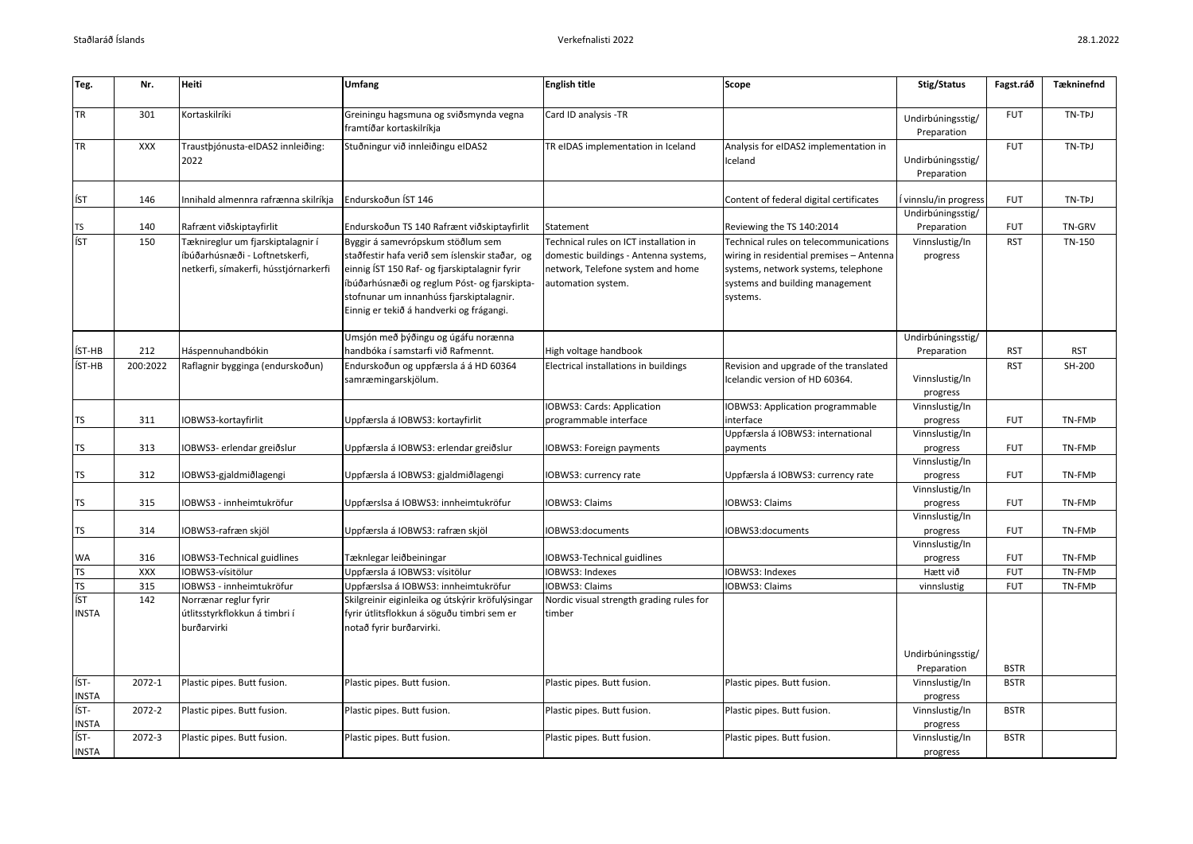| Teg.                             | Nr.             | <b>Heiti</b>                                                                                                 | <b>Umfang</b>                                                                                                                                                                                                                                                                | <b>English title</b>                                                                                                                       | Scope                                                                                                                                                                   | Stig/Status                               | Fagst.ráð                | <b>Tækninefnd</b>    |
|----------------------------------|-----------------|--------------------------------------------------------------------------------------------------------------|------------------------------------------------------------------------------------------------------------------------------------------------------------------------------------------------------------------------------------------------------------------------------|--------------------------------------------------------------------------------------------------------------------------------------------|-------------------------------------------------------------------------------------------------------------------------------------------------------------------------|-------------------------------------------|--------------------------|----------------------|
| <b>TR</b>                        | 301             | Kortaskilríki                                                                                                | Greiningu hagsmuna og sviðsmynda vegna<br>framtíðar kortaskilríkja                                                                                                                                                                                                           | Card ID analysis -TR                                                                                                                       |                                                                                                                                                                         | Undirbúningsstig/<br>Preparation          | <b>FUT</b>               | TN-TPJ               |
| <b>TR</b>                        | XXX             | Traustþjónusta-eIDAS2 innleiðing:<br>2022                                                                    | Stuðningur við innleiðingu eIDAS2                                                                                                                                                                                                                                            | TR eIDAS implementation in Iceland                                                                                                         | Analysis for eIDAS2 implementation in<br>celand                                                                                                                         | Undirbúningsstig/<br>Preparation          | <b>FUT</b>               | TN-TPJ               |
| ÍST                              | 146             | Innihald almennra rafrænna skilríkja                                                                         | Endurskoðun ÍST 146                                                                                                                                                                                                                                                          |                                                                                                                                            | Content of federal digital certificates                                                                                                                                 | vinnslu/in progress                       | <b>FUT</b>               | TN-TPJ               |
| <b>TS</b>                        | 140             | Rafrænt viðskiptayfirlit                                                                                     | Endurskoðun TS 140 Rafrænt viðskiptayfirlit                                                                                                                                                                                                                                  | Statement                                                                                                                                  | Reviewing the TS 140:2014                                                                                                                                               | Undirbúningsstig/<br>Preparation          | <b>FUT</b>               | TN-GRV               |
| ÍST                              | 150             | Tæknireglur um fjarskiptalagnir í<br>íbúðarhúsnæði - Loftnetskerfi,<br>netkerfi, símakerfi, hússtjórnarkerfi | Byggir á samevrópskum stöðlum sem<br>staðfestir hafa verið sem íslenskir staðar, og<br>einnig ÍST 150 Raf- og fjarskiptalagnir fyrir<br>íbúðarhúsnæði og reglum Póst- og fjarskipta-<br>stofnunar um innanhúss fjarskiptalagnir.<br>Einnig er tekið á handverki og frágangi. | Technical rules on ICT installation in<br>domestic buildings - Antenna systems,<br>network, Telefone system and home<br>automation system. | Technical rules on telecommunications<br>wiring in residential premises - Antenna<br>systems, network systems, telephone<br>systems and building management<br>systems. | Vinnslustig/In<br>progress                | <b>RST</b>               | TN-150               |
|                                  |                 |                                                                                                              | Umsjón með þýðingu og úgáfu norænna                                                                                                                                                                                                                                          |                                                                                                                                            |                                                                                                                                                                         | Undirbúningsstig/                         |                          |                      |
| ÍST-HB<br>ÍST-HB                 | 212<br>200:2022 | Háspennuhandbókin<br>Raflagnir bygginga (endurskoðun)                                                        | handbóka í samstarfi við Rafmennt.<br>Endurskoðun og uppfærsla á á HD 60364<br>samræmingarskjölum.                                                                                                                                                                           | High voltage handbook<br>Electrical installations in buildings                                                                             | Revision and upgrade of the translated<br>celandic version of HD 60364.                                                                                                 | Preparation<br>Vinnslustig/In<br>progress | <b>RST</b><br><b>RST</b> | <b>RST</b><br>SH-200 |
| <b>TS</b>                        | 311             | IOBWS3-kortayfirlit                                                                                          | Uppfærsla á IOBWS3: kortayfirlit                                                                                                                                                                                                                                             | <b>IOBWS3: Cards: Application</b><br>programmable interface                                                                                | <b>OBWS3: Application programmable</b><br>interface                                                                                                                     | Vinnslustig/In<br>progress                | <b>FUT</b>               | TN-FMP               |
| <b>TS</b>                        | 313             | IOBWS3- erlendar greiðslur                                                                                   | Uppfærsla á IOBWS3: erlendar greiðslur                                                                                                                                                                                                                                       | <b>IOBWS3: Foreign payments</b>                                                                                                            | Uppfærsla á IOBWS3: international<br>payments                                                                                                                           | Vinnslustig/In<br>progress                | <b>FUT</b>               | TN-FMP               |
| <b>TS</b>                        | 312             | IOBWS3-gjaldmiðlagengi                                                                                       | Uppfærsla á IOBWS3: gjaldmiðlagengi                                                                                                                                                                                                                                          | <b>IOBWS3: currency rate</b>                                                                                                               | Uppfærsla á IOBWS3: currency rate                                                                                                                                       | Vinnslustig/In<br>progress                | <b>FUT</b>               | TN-FMP               |
| <b>TS</b>                        | 315             | IOBWS3 - innheimtukröfur                                                                                     | Uppfærslsa á IOBWS3: innheimtukröfur                                                                                                                                                                                                                                         | <b>IOBWS3: Claims</b>                                                                                                                      | <b>IOBWS3: Claims</b>                                                                                                                                                   | Vinnslustig/In<br>progress                | <b>FUT</b>               | TN-FMP               |
| <b>TS</b>                        | 314             | IOBWS3-rafræn skjöl                                                                                          | Uppfærsla á IOBWS3: rafræn skjöl                                                                                                                                                                                                                                             | IOBWS3:documents                                                                                                                           | IOBWS3:documents                                                                                                                                                        | Vinnslustig/In<br>progress                | <b>FUT</b>               | TN-FMP               |
| <b>WA</b>                        | 316             | IOBWS3-Technical guidlines                                                                                   | Tæknlegar leiðbeiningar                                                                                                                                                                                                                                                      | <b>IOBWS3-Technical guidlines</b>                                                                                                          |                                                                                                                                                                         | Vinnslustig/In<br>progress                | <b>FUT</b>               | TN-FMP               |
| <b>TS</b>                        | XXX             | IOBWS3-vísitölur                                                                                             | Uppfærsla á IOBWS3: vísitölur                                                                                                                                                                                                                                                | <b>IOBWS3: Indexes</b>                                                                                                                     | OBWS3: Indexes                                                                                                                                                          | Hætt við                                  | <b>FUT</b>               | TN-FMP               |
| <b>TS</b><br>ÍST<br><b>INSTA</b> | 315<br>142      | IOBWS3 - innheimtukröfur<br>Norrænar reglur fyrir<br>útlitsstyrkflokkun á timbri í<br>burðarvirki            | Uppfærslsa á IOBWS3: innheimtukröfur<br>Skilgreinir eiginleika og útskýrir kröfulýsingar<br>fyrir útlitsflokkun á söguðu timbri sem er<br>notað fyrir burðarvirki.                                                                                                           | <b>IOBWS3: Claims</b><br>Nordic visual strength grading rules for<br>timber                                                                | <b>OBWS3: Claims</b>                                                                                                                                                    | vinnslustig<br>Undirbúningsstig/          | <b>FUT</b>               | TN-FMP               |
|                                  |                 |                                                                                                              |                                                                                                                                                                                                                                                                              |                                                                                                                                            |                                                                                                                                                                         | Preparation                               | <b>BSTR</b>              |                      |
| ÍST-<br><b>INSTA</b>             | 2072-1          | Plastic pipes. Butt fusion.                                                                                  | Plastic pipes. Butt fusion.                                                                                                                                                                                                                                                  | Plastic pipes. Butt fusion.                                                                                                                | Plastic pipes. Butt fusion.                                                                                                                                             | Vinnslustig/In<br>progress                | <b>BSTR</b>              |                      |
| ÍST-<br><b>INSTA</b>             | 2072-2          | Plastic pipes. Butt fusion.                                                                                  | Plastic pipes. Butt fusion.                                                                                                                                                                                                                                                  | Plastic pipes. Butt fusion.                                                                                                                | Plastic pipes. Butt fusion.                                                                                                                                             | Vinnslustig/In<br>progress                | <b>BSTR</b>              |                      |
| ÍST-<br><b>INSTA</b>             | 2072-3          | Plastic pipes. Butt fusion.                                                                                  | Plastic pipes. Butt fusion.                                                                                                                                                                                                                                                  | Plastic pipes. Butt fusion.                                                                                                                | Plastic pipes. Butt fusion.                                                                                                                                             | Vinnslustig/In<br>progress                | <b>BSTR</b>              |                      |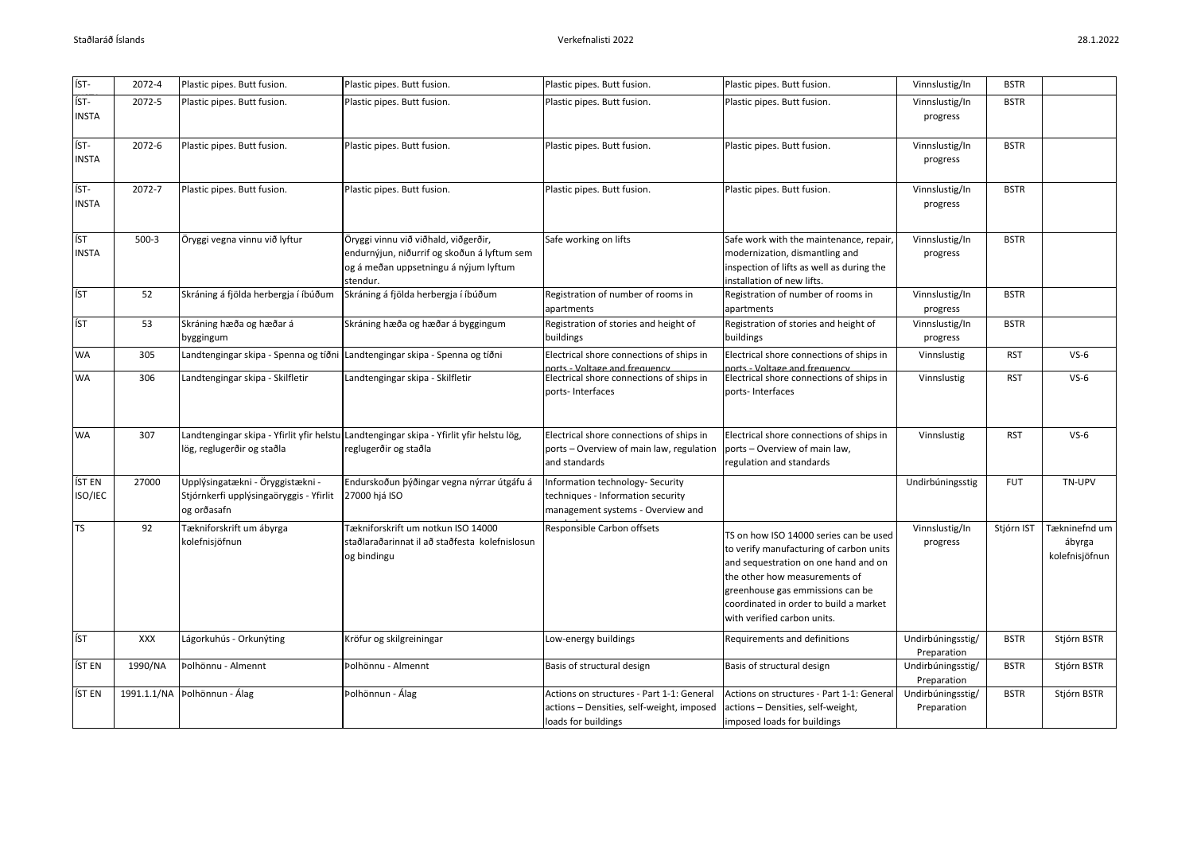| 28.1.2022 |  |
|-----------|--|
|-----------|--|

| ÍST-                 | 2072-4     | Plastic pipes. Butt fusion.                                                                | Plastic pipes. Butt fusion.                                                                                                              | Plastic pipes. Butt fusion.                                                                                   | Plastic pipes. Butt fusion.                                                                                                                                                                                                                                             | Vinnslustig/In                   | <b>BSTR</b> |                                           |
|----------------------|------------|--------------------------------------------------------------------------------------------|------------------------------------------------------------------------------------------------------------------------------------------|---------------------------------------------------------------------------------------------------------------|-------------------------------------------------------------------------------------------------------------------------------------------------------------------------------------------------------------------------------------------------------------------------|----------------------------------|-------------|-------------------------------------------|
| ÍST-<br><b>INSTA</b> | 2072-5     | Plastic pipes. Butt fusion.                                                                | Plastic pipes. Butt fusion.                                                                                                              | Plastic pipes. Butt fusion.                                                                                   | Plastic pipes. Butt fusion.                                                                                                                                                                                                                                             | Vinnslustig/In<br>progress       | <b>BSTR</b> |                                           |
| ÍST-<br><b>INSTA</b> | 2072-6     | Plastic pipes. Butt fusion.                                                                | Plastic pipes. Butt fusion.                                                                                                              | Plastic pipes. Butt fusion.                                                                                   | Plastic pipes. Butt fusion.                                                                                                                                                                                                                                             | Vinnslustig/In<br>progress       | <b>BSTR</b> |                                           |
| ÍST-<br><b>INSTA</b> | 2072-7     | Plastic pipes. Butt fusion.                                                                | Plastic pipes. Butt fusion.                                                                                                              | Plastic pipes. Butt fusion.                                                                                   | Plastic pipes. Butt fusion.                                                                                                                                                                                                                                             | Vinnslustig/In<br>progress       | <b>BSTR</b> |                                           |
| ÍST<br><b>INSTA</b>  | $500-3$    | Öryggi vegna vinnu við lyftur                                                              | Öryggi vinnu við viðhald, viðgerðir,<br>endurnýjun, niðurrif og skoðun á lyftum sem<br>og á meðan uppsetningu á nýjum lyftum<br>stendur. | Safe working on lifts                                                                                         | Safe work with the maintenance, repair,<br>modernization, dismantling and<br>inspection of lifts as well as during the<br>installation of new lifts.                                                                                                                    | Vinnslustig/In<br>progress       | <b>BSTR</b> |                                           |
| ÍST                  | 52         | Skráning á fjölda herbergja í íbúðum                                                       | Skráning á fjölda herbergja í íbúðum                                                                                                     | Registration of number of rooms in<br>apartments                                                              | Registration of number of rooms in<br>apartments                                                                                                                                                                                                                        | Vinnslustig/In<br>progress       | <b>BSTR</b> |                                           |
| ÍST                  | 53         | Skráning hæða og hæðar á<br>byggingum                                                      | Skráning hæða og hæðar á byggingum                                                                                                       | Registration of stories and height of<br>buildings                                                            | Registration of stories and height of<br>buildings                                                                                                                                                                                                                      | Vinnslustig/In<br>progress       | <b>BSTR</b> |                                           |
| WA                   | 305        |                                                                                            | Landtengingar skipa - Spenna og tíðni Landtengingar skipa - Spenna og tíðni                                                              | Electrical shore connections of ships in<br>orts - Voltage and frequency                                      | Electrical shore connections of ships in<br>orts - Voltage and frequency                                                                                                                                                                                                | Vinnslustig                      | <b>RST</b>  | $VS-6$                                    |
| <b>WA</b>            | 306        | Landtengingar skipa - Skilfletir                                                           | Landtengingar skipa - Skilfletir                                                                                                         | Electrical shore connections of ships in<br>ports-Interfaces                                                  | Electrical shore connections of ships in<br>ports-Interfaces                                                                                                                                                                                                            | Vinnslustig                      | <b>RST</b>  | $VS-6$                                    |
| <b>WA</b>            | 307        | lög, reglugerðir og staðla                                                                 | Landtengingar skipa - Yfirlit yfir helstu Landtengingar skipa - Yfirlit yfir helstu lög,<br>reglugerðir og staðla                        | Electrical shore connections of ships in<br>ports - Overview of main law, regulation<br>and standards         | Electrical shore connections of ships in<br>ports - Overview of main law,<br>regulation and standards                                                                                                                                                                   | Vinnslustig                      | <b>RST</b>  | $VS-6$                                    |
| ÍST EN<br>ISO/IEC    | 27000      | Upplýsingatækni - Öryggistækni -<br>Stjórnkerfi upplýsingaöryggis - Yfirlit<br>og orðasafn | Endurskoðun þýðingar vegna nýrrar útgáfu á<br>27000 hjá ISO                                                                              | Information technology- Security<br>techniques - Information security<br>management systems - Overview and    |                                                                                                                                                                                                                                                                         | Undirbúningsstig                 | <b>FUT</b>  | TN-UPV                                    |
| <b>TS</b>            | 92         | Tækniforskrift um ábyrga<br>kolefnisjöfnun                                                 | Tækniforskrift um notkun ISO 14000<br>staðlaraðarinnat il að staðfesta kolefnislosun<br>og bindingu                                      | Responsible Carbon offsets                                                                                    | TS on how ISO 14000 series can be used<br>to verify manufacturing of carbon units<br>and sequestration on one hand and on<br>the other how measurements of<br>greenhouse gas emmissions can be<br>coordinated in order to build a market<br>with verified carbon units. | Vinnslustig/In<br>progress       | Stjórn IST  | Tækninefnd um<br>ábyrga<br>kolefnisjöfnun |
| ÍST                  | <b>XXX</b> | Lágorkuhús - Orkunýting                                                                    | Kröfur og skilgreiningar                                                                                                                 | Low-energy buildings                                                                                          | Requirements and definitions                                                                                                                                                                                                                                            | Undirbúningsstig/<br>Preparation | <b>BSTR</b> | Stjórn BSTR                               |
| ÍST EN               | 1990/NA    | Þolhönnu - Almennt                                                                         | Þolhönnu - Almennt                                                                                                                       | Basis of structural design                                                                                    | Basis of structural design                                                                                                                                                                                                                                              | Undirbúningsstig/<br>Preparation | <b>BSTR</b> | Stjórn BSTR                               |
| ÍST EN               |            | 1991.1.1/NA   Þolhönnun - Álag                                                             | Þolhönnun - Álag                                                                                                                         | Actions on structures - Part 1-1: General<br>actions - Densities, self-weight, imposed<br>loads for buildings | Actions on structures - Part 1-1: General<br>actions - Densities, self-weight,<br>imposed loads for buildings                                                                                                                                                           | Undirbúningsstig/<br>Preparation | <b>BSTR</b> | Stjórn BSTR                               |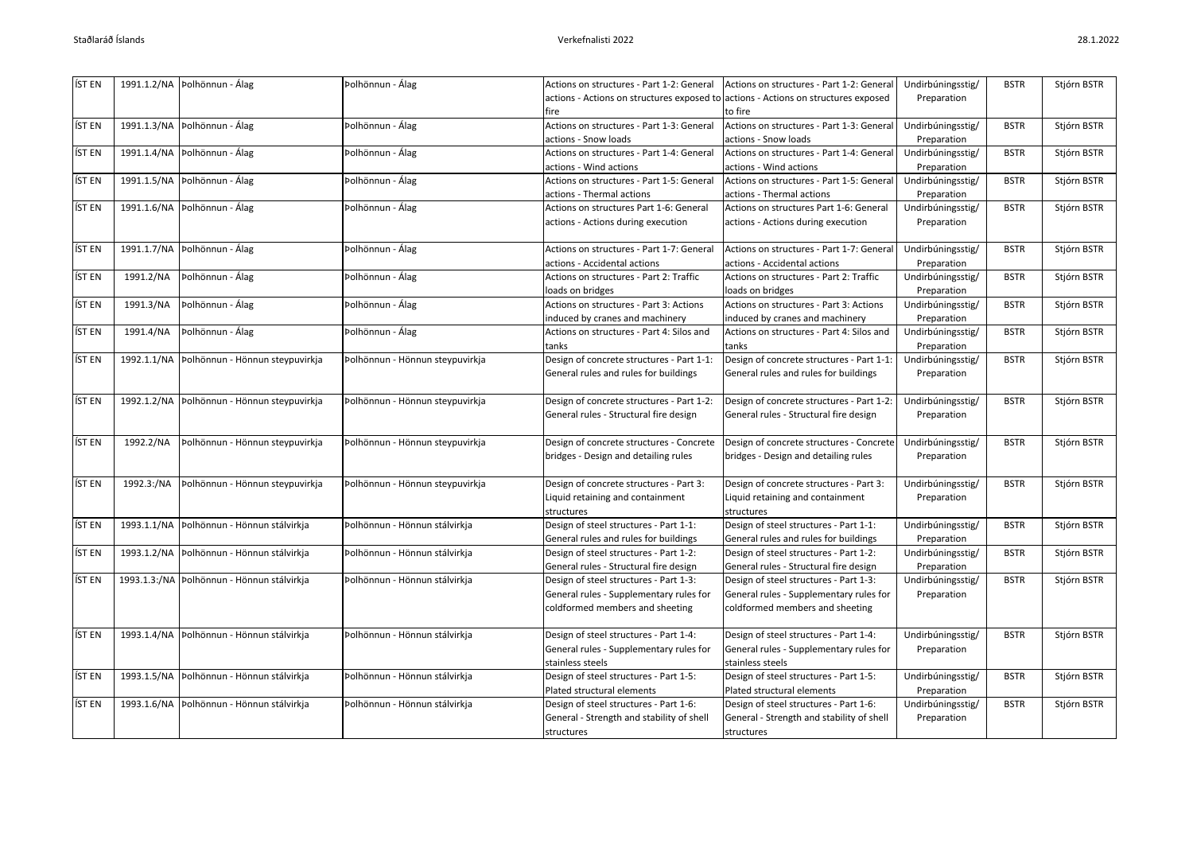| ÍST EN | 1991.1.2/NA | Þolhönnun - Álag                             | Þolhönnun - Álag                | Actions on structures - Part 1-2: General                                          | Actions on structures - Part 1-2: General | Undirbúningsstig/ | <b>BSTR</b> | Stjórn BSTR |
|--------|-------------|----------------------------------------------|---------------------------------|------------------------------------------------------------------------------------|-------------------------------------------|-------------------|-------------|-------------|
|        |             |                                              |                                 | actions - Actions on structures exposed to actions - Actions on structures exposed |                                           | Preparation       |             |             |
|        |             |                                              |                                 | fire                                                                               | to fire                                   |                   |             |             |
| ÍST EN |             | 1991.1.3/NA   Þolhönnun - Álag               | Þolhönnun - Álag                | Actions on structures - Part 1-3: General                                          | Actions on structures - Part 1-3: General | Undirbúningsstig/ | <b>BSTR</b> | Stjórn BSTR |
|        |             |                                              |                                 | actions - Snow loads                                                               | actions - Snow loads                      | Preparation       |             |             |
| ÍST EN | 1991.1.4/NA | Þolhönnun - Álag                             | Þolhönnun - Álag                | Actions on structures - Part 1-4: General                                          | Actions on structures - Part 1-4: General | Undirbúningsstig/ | <b>BSTR</b> | Stjórn BSTR |
|        |             |                                              |                                 | actions - Wind actions                                                             | actions - Wind actions                    | Preparation       |             |             |
| ÍST EN | 1991.1.5/NA | Þolhönnun - Álag                             | Þolhönnun - Álag                | Actions on structures - Part 1-5: General                                          | Actions on structures - Part 1-5: General | Undirbúningsstig/ | <b>BSTR</b> | Stjórn BSTR |
|        |             |                                              |                                 | actions - Thermal actions                                                          | actions - Thermal actions                 | Preparation       |             |             |
| ÍST EN | 1991.1.6/NA | Þolhönnun - Álag                             | Þolhönnun - Álag                | Actions on structures Part 1-6: General                                            | Actions on structures Part 1-6: General   | Undirbúningsstig/ | <b>BSTR</b> | Stjórn BSTR |
|        |             |                                              |                                 | actions - Actions during execution                                                 | actions - Actions during execution        | Preparation       |             |             |
|        |             |                                              |                                 |                                                                                    |                                           |                   |             |             |
| ÍST EN |             | 1991.1.7/NA   Þolhönnun - Álag               | Þolhönnun - Álag                | Actions on structures - Part 1-7: General                                          | Actions on structures - Part 1-7: General | Undirbúningsstig/ | <b>BSTR</b> | Stjórn BSTR |
|        |             |                                              |                                 | actions - Accidental actions                                                       | actions - Accidental actions              | Preparation       |             |             |
| ÍST EN | 1991.2/NA   | Þolhönnun - Álag                             | Þolhönnun - Álag                | Actions on structures - Part 2: Traffic                                            | Actions on structures - Part 2: Traffic   | Undirbúningsstig/ | <b>BSTR</b> | Stjórn BSTR |
|        |             |                                              |                                 | loads on bridges                                                                   | loads on bridges                          | Preparation       |             |             |
| ÍST EN | 1991.3/NA   | Þolhönnun - Álag                             | Þolhönnun - Álag                | Actions on structures - Part 3: Actions                                            | Actions on structures - Part 3: Actions   | Undirbúningsstig/ | <b>BSTR</b> | Stjórn BSTR |
|        |             |                                              |                                 | induced by cranes and machinery                                                    | induced by cranes and machinery           | Preparation       |             |             |
| ÍST EN | 1991.4/NA   | Þolhönnun - Álag                             | Þolhönnun - Álag                | Actions on structures - Part 4: Silos and                                          | Actions on structures - Part 4: Silos and | Undirbúningsstig/ | <b>BSTR</b> | Stjórn BSTR |
|        |             |                                              |                                 | tanks                                                                              | tanks                                     | Preparation       |             |             |
| ÍST EN | 1992.1.1/NA | Þolhönnun - Hönnun steypuvirkja              | Þolhönnun - Hönnun steypuvirkja | Design of concrete structures - Part 1-1:                                          | Design of concrete structures - Part 1-1: | Undirbúningsstig/ | <b>BSTR</b> | Stjórn BSTR |
|        |             |                                              |                                 | General rules and rules for buildings                                              | General rules and rules for buildings     | Preparation       |             |             |
|        |             |                                              |                                 |                                                                                    |                                           |                   |             |             |
| ÍST EN | 1992.1.2/NA | Þolhönnun - Hönnun steypuvirkja              | Þolhönnun - Hönnun steypuvirkja | Design of concrete structures - Part 1-2:                                          | Design of concrete structures - Part 1-2: | Undirbúningsstig/ | <b>BSTR</b> | Stjórn BSTR |
|        |             |                                              |                                 | General rules - Structural fire design                                             | General rules - Structural fire design    | Preparation       |             |             |
| ÍST EN | 1992.2/NA   | Þolhönnun - Hönnun steypuvirkja              | Þolhönnun - Hönnun steypuvirkja | Design of concrete structures - Concrete                                           | Design of concrete structures - Concrete  | Undirbúningsstig/ | <b>BSTR</b> | Stjórn BSTR |
|        |             |                                              |                                 | bridges - Design and detailing rules                                               | bridges - Design and detailing rules      | Preparation       |             |             |
|        |             |                                              |                                 |                                                                                    |                                           |                   |             |             |
| ÍST EN | 1992.3:/NA  | Þolhönnun - Hönnun steypuvirkja              | Þolhönnun - Hönnun steypuvirkja | Design of concrete structures - Part 3:                                            | Design of concrete structures - Part 3:   | Undirbúningsstig/ | <b>BSTR</b> | Stjórn BSTR |
|        |             |                                              |                                 | Liquid retaining and containment                                                   | Liquid retaining and containment          | Preparation       |             |             |
|        |             |                                              |                                 | structures                                                                         | structures                                |                   |             |             |
| ÍST EN | 1993.1.1/NA | Þolhönnun - Hönnun stálvirkja                | Þolhönnun - Hönnun stálvirkja   | Design of steel structures - Part 1-1:                                             | Design of steel structures - Part 1-1:    | Undirbúningsstig/ | <b>BSTR</b> | Stjórn BSTR |
|        |             |                                              |                                 | General rules and rules for buildings                                              | General rules and rules for buildings     | Preparation       |             |             |
| ÍST EN | 1993.1.2/NA | Þolhönnun - Hönnun stálvirkja                | Þolhönnun - Hönnun stálvirkja   | Design of steel structures - Part 1-2:                                             | Design of steel structures - Part 1-2:    | Undirbúningsstig/ | <b>BSTR</b> | Stjórn BSTR |
|        |             |                                              |                                 | General rules - Structural fire design                                             | General rules - Structural fire design    | Preparation       |             |             |
| ÍST EN |             | 1993.1.3:/NA   Þolhönnun - Hönnun stálvirkja | Þolhönnun - Hönnun stálvirkja   | Design of steel structures - Part 1-3:                                             | Design of steel structures - Part 1-3:    | Undirbúningsstig/ | <b>BSTR</b> | Stjórn BSTR |
|        |             |                                              |                                 | General rules - Supplementary rules for                                            | General rules - Supplementary rules for   | Preparation       |             |             |
|        |             |                                              |                                 | coldformed members and sheeting                                                    | coldformed members and sheeting           |                   |             |             |
|        |             |                                              |                                 |                                                                                    |                                           |                   |             |             |
| ÍST EN |             | 1993.1.4/NA   Þolhönnun - Hönnun stálvirkja  | Þolhönnun - Hönnun stálvirkja   | Design of steel structures - Part 1-4:                                             | Design of steel structures - Part 1-4:    | Undirbúningsstig/ | <b>BSTR</b> | Stjórn BSTR |
|        |             |                                              |                                 | General rules - Supplementary rules for                                            | General rules - Supplementary rules for   | Preparation       |             |             |
|        |             |                                              |                                 | stainless steels                                                                   | stainless steels                          |                   |             |             |
| ÍST EN | 1993.1.5/NA | Þolhönnun - Hönnun stálvirkja                | Þolhönnun - Hönnun stálvirkja   | Design of steel structures - Part 1-5:                                             | Design of steel structures - Part 1-5:    | Undirbúningsstig/ | <b>BSTR</b> | Stjórn BSTR |
|        |             |                                              |                                 | Plated structural elements                                                         | Plated structural elements                | Preparation       |             |             |
| ÍST EN | 1993.1.6/NA | Þolhönnun - Hönnun stálvirkja                | Þolhönnun - Hönnun stálvirkja   | Design of steel structures - Part 1-6:                                             | Design of steel structures - Part 1-6:    | Undirbúningsstig/ | <b>BSTR</b> | Stjórn BSTR |
|        |             |                                              |                                 | General - Strength and stability of shell                                          | General - Strength and stability of shell | Preparation       |             |             |
|        |             |                                              |                                 | structures                                                                         | structures                                |                   |             |             |
|        |             |                                              |                                 |                                                                                    |                                           |                   |             |             |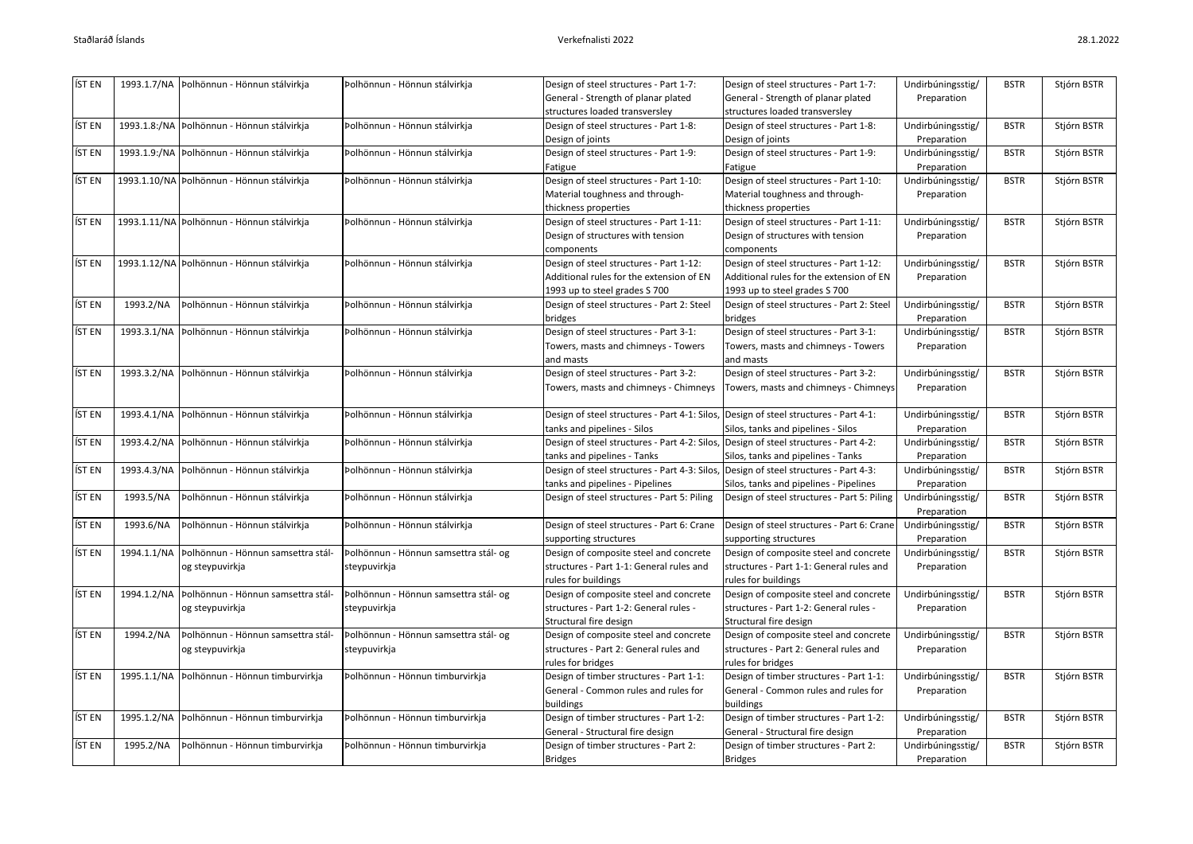| ÍST EN |           | 1993.1.7/NA   Þolhönnun - Hönnun stálvirkja      | Þolhönnun - Hönnun stálvirkja         | Design of steel structures - Part 1-7:       | Design of steel structures - Part 1-7:      | Undirbúningsstig/ | <b>BSTR</b> | Stjórn BSTR |
|--------|-----------|--------------------------------------------------|---------------------------------------|----------------------------------------------|---------------------------------------------|-------------------|-------------|-------------|
|        |           |                                                  |                                       | General - Strength of planar plated          | General - Strength of planar plated         | Preparation       |             |             |
|        |           |                                                  |                                       | structures loaded transversley               | structures loaded transversley              |                   |             |             |
| íst en |           | 1993.1.8:/NA   Þolhönnun - Hönnun stálvirkja     | Þolhönnun - Hönnun stálvirkja         | Design of steel structures - Part 1-8:       | Design of steel structures - Part 1-8:      | Undirbúningsstig/ | <b>BSTR</b> | Stjórn BSTR |
|        |           |                                                  |                                       | Design of joints                             | Design of joints                            | Preparation       |             |             |
| ÍST EN |           | 1993.1.9:/NA   Þolhönnun - Hönnun stálvirkja     | Þolhönnun - Hönnun stálvirkja         | Design of steel structures - Part 1-9:       | Design of steel structures - Part 1-9:      | Undirbúningsstig/ | <b>BSTR</b> | Stjórn BSTR |
|        |           |                                                  |                                       | Fatigue                                      | Fatigue                                     | Preparation       |             |             |
| ÍST EN |           | 1993.1.10/NA Polhönnun - Hönnun stálvirkja       | Þolhönnun - Hönnun stálvirkja         | Design of steel structures - Part 1-10:      | Design of steel structures - Part 1-10:     | Undirbúningsstig/ | <b>BSTR</b> | Stjórn BSTR |
|        |           |                                                  |                                       | Material toughness and through-              | Material toughness and through-             | Preparation       |             |             |
|        |           |                                                  |                                       | thickness properties                         | thickness properties                        |                   |             |             |
| ÍST EN |           | 1993.1.11/NA Polhönnun - Hönnun stálvirkja       | Þolhönnun - Hönnun stálvirkja         | Design of steel structures - Part 1-11:      | Design of steel structures - Part 1-11:     | Undirbúningsstig/ | <b>BSTR</b> | Stjórn BSTR |
|        |           |                                                  |                                       | Design of structures with tension            | Design of structures with tension           | Preparation       |             |             |
|        |           |                                                  |                                       | components                                   | components                                  |                   |             |             |
| íst en |           | 1993.1.12/NA   Þolhönnun - Hönnun stálvirkja     | Þolhönnun - Hönnun stálvirkja         | Design of steel structures - Part 1-12:      | Design of steel structures - Part 1-12:     | Undirbúningsstig/ | <b>BSTR</b> | Stjórn BSTR |
|        |           |                                                  |                                       | Additional rules for the extension of EN     | Additional rules for the extension of EN    | Preparation       |             |             |
|        |           |                                                  |                                       | 1993 up to steel grades S 700                | 1993 up to steel grades S 700               |                   |             |             |
| ÍST EN | 1993.2/NA | Þolhönnun - Hönnun stálvirkja                    | Þolhönnun - Hönnun stálvirkja         | Design of steel structures - Part 2: Steel   | Design of steel structures - Part 2: Steel  | Undirbúningsstig/ | <b>BSTR</b> | Stjórn BSTR |
|        |           |                                                  |                                       | bridges                                      | bridges                                     | Preparation       |             |             |
| íst en |           | 1993.3.1/NA   Þolhönnun - Hönnun stálvirkja      | Þolhönnun - Hönnun stálvirkja         | Design of steel structures - Part 3-1:       | Design of steel structures - Part 3-1:      | Undirbúningsstig/ | <b>BSTR</b> | Stjórn BSTR |
|        |           |                                                  |                                       | Towers, masts and chimneys - Towers          | Towers, masts and chimneys - Towers         | Preparation       |             |             |
|        |           |                                                  |                                       | and masts                                    | and masts                                   |                   |             |             |
| ÍST EN |           | 1993.3.2/NA   Þolhönnun - Hönnun stálvirkja      | Þolhönnun - Hönnun stálvirkja         | Design of steel structures - Part 3-2:       | Design of steel structures - Part 3-2:      | Undirbúningsstig/ | <b>BSTR</b> | Stjórn BSTR |
|        |           |                                                  |                                       | Towers, masts and chimneys - Chimneys        | Towers, masts and chimneys - Chimneys       | Preparation       |             |             |
| ÍST EN |           | 1993.4.1/NA   Þolhönnun - Hönnun stálvirkja      | Þolhönnun - Hönnun stálvirkja         | Design of steel structures - Part 4-1: Silos | Design of steel structures - Part 4-1:      | Undirbúningsstig/ | <b>BSTR</b> | Stjórn BSTR |
|        |           |                                                  |                                       | tanks and pipelines - Silos                  | Silos, tanks and pipelines - Silos          | Preparation       |             |             |
| ÍST EN |           | 1993.4.2/NA   Þolhönnun - Hönnun stálvirkja      | Þolhönnun - Hönnun stálvirkja         | Design of steel structures - Part 4-2: Silos | Design of steel structures - Part 4-2:      | Undirbúningsstig/ | <b>BSTR</b> | Stjórn BSTR |
|        |           |                                                  |                                       | tanks and pipelines - Tanks                  | Silos, tanks and pipelines - Tanks          | Preparation       |             |             |
| ÍST EN |           | 1993.4.3/NA   Þolhönnun - Hönnun stálvirkja      | Þolhönnun - Hönnun stálvirkja         | Design of steel structures - Part 4-3: Silos | Design of steel structures - Part 4-3:      | Undirbúningsstig/ | <b>BSTR</b> | Stjórn BSTR |
|        |           |                                                  |                                       | tanks and pipelines - Pipelines              | Silos, tanks and pipelines - Pipelines      | Preparation       |             |             |
| ÍST EN | 1993.5/NA | Þolhönnun - Hönnun stálvirkja                    | Þolhönnun - Hönnun stálvirkja         | Design of steel structures - Part 5: Piling  | Design of steel structures - Part 5: Piling | Undirbúningsstig/ | <b>BSTR</b> | Stjórn BSTR |
|        |           |                                                  |                                       |                                              |                                             | Preparation       |             |             |
| ÍST EN | 1993.6/NA | Þolhönnun - Hönnun stálvirkja                    | Þolhönnun - Hönnun stálvirkja         | Design of steel structures - Part 6: Crane   | Design of steel structures - Part 6: Crane  | Undirbúningsstig/ | <b>BSTR</b> | Stjórn BSTR |
|        |           |                                                  |                                       | supporting structures                        | supporting structures                       | Preparation       |             |             |
| ÍST EN |           | 1994.1.1/NA   Þolhönnun - Hönnun samsettra stál- | Þolhönnun - Hönnun samsettra stál- og | Design of composite steel and concrete       | Design of composite steel and concrete      | Undirbúningsstig/ | <b>BSTR</b> | Stjórn BSTR |
|        |           | og steypuvirkja                                  | steypuvirkja                          | structures - Part 1-1: General rules and     | structures - Part 1-1: General rules and    | Preparation       |             |             |
|        |           |                                                  |                                       | rules for buildings                          | rules for buildings                         |                   |             |             |
| ÍST EN |           | 1994.1.2/NA   Þolhönnun - Hönnun samsettra stál- | Þolhönnun - Hönnun samsettra stál- og | Design of composite steel and concrete       | Design of composite steel and concrete      | Undirbúningsstig/ | <b>BSTR</b> | Stjórn BSTR |
|        |           | og steypuvirkja                                  | steypuvirkja                          | structures - Part 1-2: General rules -       | structures - Part 1-2: General rules -      | Preparation       |             |             |
|        |           |                                                  |                                       | Structural fire design                       | Structural fire design                      |                   |             |             |
| ÍST EN | 1994.2/NA | Þolhönnun - Hönnun samsettra stál-               | Þolhönnun - Hönnun samsettra stál- og | Design of composite steel and concrete       | Design of composite steel and concrete      | Undirbúningsstig/ | <b>BSTR</b> | Stjórn BSTR |
|        |           | og steypuvirkja                                  | steypuvirkja                          | structures - Part 2: General rules and       | structures - Part 2: General rules and      | Preparation       |             |             |
|        |           |                                                  |                                       | rules for bridges                            | rules for bridges                           |                   |             |             |
| ÍST EN |           | 1995.1.1/NA   Þolhönnun - Hönnun timburvirkja    | Þolhönnun - Hönnun timburvirkja       | Design of timber structures - Part 1-1:      | Design of timber structures - Part 1-1:     | Undirbúningsstig/ | <b>BSTR</b> | Stjórn BSTR |
|        |           |                                                  |                                       | General - Common rules and rules for         | General - Common rules and rules for        | Preparation       |             |             |
|        |           |                                                  |                                       | buildings                                    | buildings                                   |                   |             |             |
| ÍST EN |           | 1995.1.2/NA   Þolhönnun - Hönnun timburvirkja    | Þolhönnun - Hönnun timburvirkja       | Design of timber structures - Part 1-2:      | Design of timber structures - Part 1-2:     | Undirbúningsstig/ | <b>BSTR</b> | Stjórn BSTR |
|        |           |                                                  |                                       | General - Structural fire design             | General - Structural fire design            | Preparation       |             |             |
| ÍST EN | 1995.2/NA | Þolhönnun - Hönnun timburvirkja                  | Þolhönnun - Hönnun timburvirkja       | Design of timber structures - Part 2:        | Design of timber structures - Part 2:       | Undirbúningsstig/ | <b>BSTR</b> | Stjórn BSTR |
|        |           |                                                  |                                       | <b>Bridges</b>                               | <b>Bridges</b>                              | Preparation       |             |             |
|        |           |                                                  |                                       |                                              |                                             |                   |             |             |